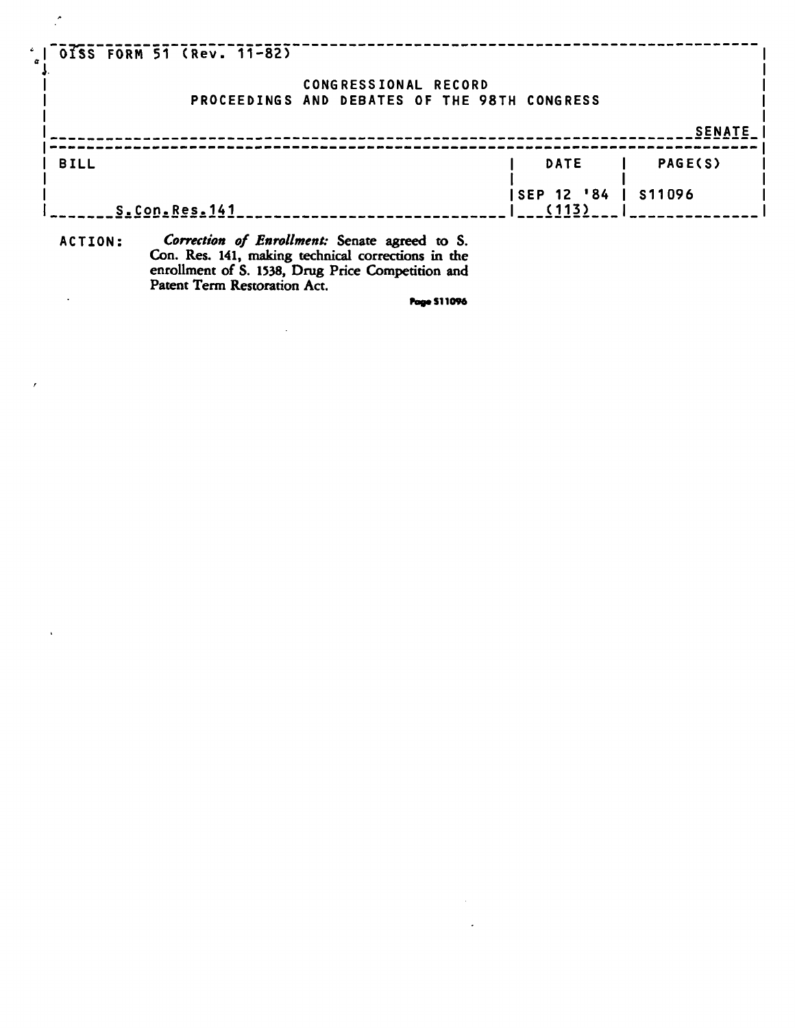| $100155$ FORM 51 (Rev. 11-82) |                                              |                      |                    |       |                |
|-------------------------------|----------------------------------------------|----------------------|--------------------|-------|----------------|
|                               | PROCEEDINGS AND DEBATES OF THE 98TH CONGRESS | CONGRESSIONAL RECORD |                    |       |                |
|                               |                                              |                      |                    |       | <b>SENATE</b>  |
| <b>BILL</b>                   |                                              |                      |                    | DATE  | <b>PAGE(S)</b> |
| S.Con.Res.141                 |                                              |                      | <b>SEP 12 '84'</b> | (113) | S11096         |
| ACTTAN -                      | Correction of Engallment: Senate expect to S |                      |                    |       |                |

**ACTION :** *Correction of Enrollment:* **Senate agreed to S. Con. Res. 141, making technical corrections in the enrollment of S. 1538, Drug Price Competition and Patent Term Restoration Act.**   $\ddot{\phantom{a}}$ 

 $\mathcal{L}^{\mathcal{A}}$ 

 $\mathcal{L}$ 

 $\overline{ }$ 

 $\tilde{\mathbf{r}}$ 

**tag«S11096** 

 $\sim 10^7$  $\mathcal{L}$